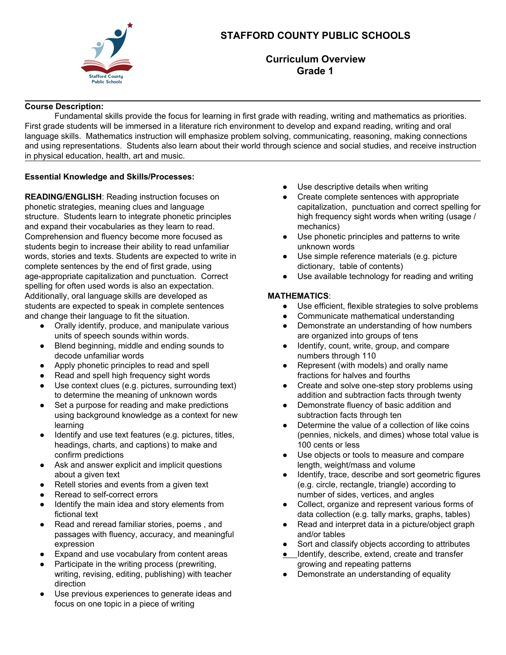

# **STAFFORD COUNTY PUBLIC SCHOOLS**

**Curriculum Overview Grade 1**

### **Course Description:**

Fundamental skills provide the focus for learning in first grade with reading, writing and mathematics as priorities. First grade students will be immersed in a literature rich environment to develop and expand reading, writing and oral language skills. Mathematics instruction will emphasize problem solving, communicating, reasoning, making connections and using representations. Students also learn about their world through science and social studies, and receive instruction in physical education, health, art and music.

### **Essential Knowledge and Skills/Processes:**

**READING/ENGLISH**: Reading instruction focuses on phonetic strategies, meaning clues and language structure. Students learn to integrate phonetic principles and expand their vocabularies as they learn to read. Comprehension and fluency become more focused as students begin to increase their ability to read unfamiliar words, stories and texts. Students are expected to write in complete sentences by the end of first grade, using age-appropriate capitalization and punctuation. Correct spelling for often used words is also an expectation. Additionally, oral language skills are developed as students are expected to speak in complete sentences and change their language to fit the situation.

- Orally identify, produce, and manipulate various units of speech sounds within words.
- Blend beginning, middle and ending sounds to decode unfamiliar words
- Apply phonetic principles to read and spell
- Read and spell high frequency sight words
- Use context clues (e.g. pictures, surrounding text) to determine the meaning of unknown words
- Set a purpose for reading and make predictions using background knowledge as a context for new learning
- Identify and use text features (e.g. pictures, titles, headings, charts, and captions) to make and confirm predictions
- Ask and answer explicit and implicit questions about a given text
- Retell stories and events from a given text
- Reread to self-correct errors
- Identify the main idea and story elements from fictional text
- Read and reread familiar stories, poems , and passages with fluency, accuracy, and meaningful expression
- Expand and use vocabulary from content areas
- Participate in the writing process (prewriting, writing, revising, editing, publishing) with teacher direction
- Use previous experiences to generate ideas and focus on one topic in a piece of writing
- Use descriptive details when writing
- Create complete sentences with appropriate capitalization, punctuation and correct spelling for high frequency sight words when writing (usage / mechanics)
- Use phonetic principles and patterns to write unknown words
- Use simple reference materials (e.g. picture dictionary, table of contents)
- Use available technology for reading and writing

# **MATHEMATICS**:

- Use efficient, flexible strategies to solve problems
- Communicate mathematical understanding
- Demonstrate an understanding of how numbers are organized into groups of tens
- Identify, count, write, group, and compare numbers through 110
- Represent (with models) and orally name fractions for halves and fourths
- Create and solve one-step story problems using addition and subtraction facts through twenty
- Demonstrate fluency of basic addition and subtraction facts through ten
- Determine the value of a collection of like coins (pennies, nickels, and dimes) whose total value is 100 cents or less
- Use objects or tools to measure and compare length, weight/mass and volume
- Identify, trace, describe and sort geometric figures (e.g. circle, rectangle, triangle) according to number of sides, vertices, and angles
- Collect, organize and represent various forms of data collection (e.g. tally marks, graphs, tables)
- Read and interpret data in a picture/object graph and/or tables
- Sort and classify objects according to attributes
- Identify, describe, extend, create and transfer growing and repeating patterns
- Demonstrate an understanding of equality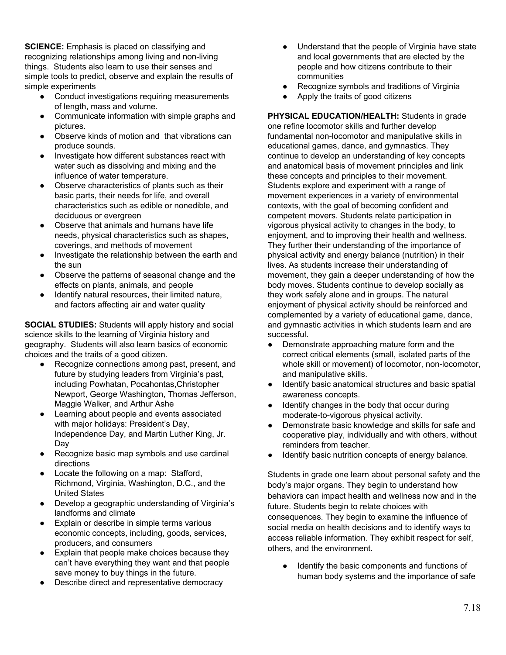**SCIENCE:** Emphasis is placed on classifying and recognizing relationships among living and non-living things. Students also learn to use their senses and simple tools to predict, observe and explain the results of simple experiments

- Conduct investigations requiring measurements of length, mass and volume.
- Communicate information with simple graphs and pictures.
- Observe kinds of motion and that vibrations can produce sounds.
- Investigate how different substances react with water such as dissolving and mixing and the influence of water temperature.
- Observe characteristics of plants such as their basic parts, their needs for life, and overall characteristics such as edible or nonedible, and deciduous or evergreen
- Observe that animals and humans have life needs, physical characteristics such as shapes, coverings, and methods of movement
- Investigate the relationship between the earth and the sun
- Observe the patterns of seasonal change and the effects on plants, animals, and people
- Identify natural resources, their limited nature, and factors affecting air and water quality

**SOCIAL STUDIES:** Students will apply history and social science skills to the learning of Virginia history and geography. Students will also learn basics of economic choices and the traits of a good citizen.

- Recognize connections among past, present, and future by studying leaders from Virginia's past, including Powhatan, Pocahontas,Christopher Newport, George Washington, Thomas Jefferson, Maggie Walker, and Arthur Ashe
- Learning about people and events associated with major holidays: President's Day, Independence Day, and Martin Luther King, Jr. Day
- Recognize basic map symbols and use cardinal directions
- Locate the following on a map: Stafford, Richmond, Virginia, Washington, D.C., and the United States
- Develop a geographic understanding of Virginia's landforms and climate
- Explain or describe in simple terms various economic concepts, including, goods, services, producers, and consumers
- Explain that people make choices because they can't have everything they want and that people save money to buy things in the future.
- Describe direct and representative democracy
- Understand that the people of Virginia have state and local governments that are elected by the people and how citizens contribute to their communities
- Recognize symbols and traditions of Virginia
- Apply the traits of good citizens

**PHYSICAL EDUCATION/HEALTH:** Students in grade one refine locomotor skills and further develop fundamental non-locomotor and manipulative skills in educational games, dance, and gymnastics. They continue to develop an understanding of key concepts and anatomical basis of movement principles and link these concepts and principles to their movement. Students explore and experiment with a range of movement experiences in a variety of environmental contexts, with the goal of becoming confident and competent movers. Students relate participation in vigorous physical activity to changes in the body, to enjoyment, and to improving their health and wellness. They further their understanding of the importance of physical activity and energy balance (nutrition) in their lives. As students increase their understanding of movement, they gain a deeper understanding of how the body moves. Students continue to develop socially as they work safely alone and in groups. The natural enjoyment of physical activity should be reinforced and complemented by a variety of educational game, dance, and gymnastic activities in which students learn and are successful.

- Demonstrate approaching mature form and the correct critical elements (small, isolated parts of the whole skill or movement) of locomotor, non-locomotor, and manipulative skills.
- Identify basic anatomical structures and basic spatial awareness concepts.
- Identify changes in the body that occur during moderate-to-vigorous physical activity.
- Demonstrate basic knowledge and skills for safe and cooperative play, individually and with others, without reminders from teacher.
- Identify basic nutrition concepts of energy balance.

Students in grade one learn about personal safety and the body's major organs. They begin to understand how behaviors can impact health and wellness now and in the future. Students begin to relate choices with consequences. They begin to examine the influence of social media on health decisions and to identify ways to access reliable information. They exhibit respect for self, others, and the environment.

Identify the basic components and functions of human body systems and the importance of safe